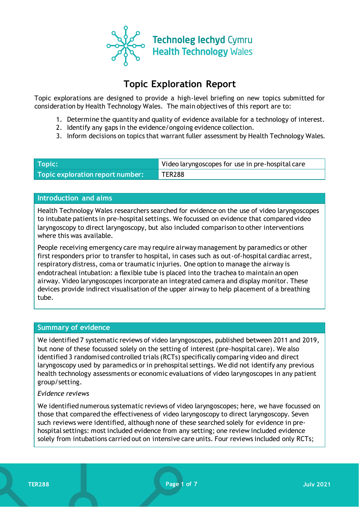

# **Topic Exploration Report**

Topic explorations are designed to provide a high-level briefing on new topics submitted for consideration by Health Technology Wales. The main objectives of this report are to:

- 1. Determine the quantity and quality of evidence available for a technology of interest.
- 2. Identify any gaps in the evidence/ongoing evidence collection.
- 3. Inform decisions on topics that warrant fuller assessment by Health Technology Wales.

| Topic:                                        | Video laryngoscopes for use in pre-hospital care |
|-----------------------------------------------|--------------------------------------------------|
| Topic exploration report number: $^{\dagger}$ | TER288                                           |

#### **Introduction and aims**

Health Technology Wales researchers searched for evidence on the use of video laryngoscopes to intubate patients in pre-hospital settings. We focussed on evidence that compared video laryngoscopy to direct laryngoscopy, but also included comparison to other interventions where this was available.

People receiving emergency care may require airway management by paramedics or other first responders prior to transfer to hospital, in cases such as out-of-hospital cardiac arrest, respiratory distress, coma or traumatic injuries. One option to manage the airway is endotracheal intubation: a flexible tube is placed into the trachea to maintain an open airway. Video laryngoscopes incorporate an integrated camera and display monitor. These devices provide indirect visualisation of the upper airway to help placement of a breathing tube.

## **Summary of evidence**

We identified 7 systematic reviews of video laryngoscopes, published between 2011 and 2019, but none of these focussed solely on the setting of interest (pre-hospital care). We also identified 3 randomised controlled trials (RCTs) specifically comparing video and direct laryngoscopy used by paramedics or in prehospital settings. We did not identify any previous health technology assessments or economic evaluations of video laryngoscopes in any patient group/setting.

#### *Evidence reviews*

We identified numerous systematic reviews of video laryngoscopes; here, we have focussed on those that compared the effectiveness of video laryngoscopy to direct laryngoscopy. Seven such reviews were identified, although none of these searched solely for evidence in prehospital settings: most included evidence from any setting; one review included evidence solely from intubations carried out on intensive care units. Four reviews included only RCTs;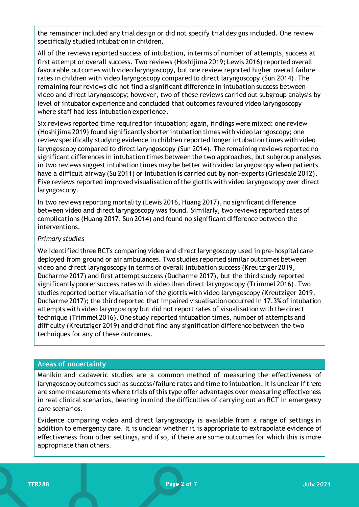the remainder included any trial design or did not specify trial designs included. One review specifically studied intubation in children.

All of the reviews reported success of intubation, in terms of number of attempts, success at first attempt or overall success. Two reviews (Hoshijima 2019; Lewis 2016) reported overall favourable outcomes with video laryngoscopy, but one review reported higher overall failure rates in children with video laryngoscopy compared to direct laryngoscopy (Sun 2014). The remaining four reviews did not find a significant difference in intubation success between video and direct laryngoscopy; however, two of these reviews carried out subgroup analysis by level of intubator experience and concluded that outcomes favoured video laryngoscopy where staff had less intubation experience.

Six reviews reported time required for intubation; again, findings were mixed: one review (Hoshijima 2019) found significantly shorter intubation times with video larngoscopy; one review specifically studying evidence in children reported longer intubation times with video laryngoscopy compared to direct laryngoscopy (Sun 2014). The remaining reviews reported no significant differences in intubation times between the two approaches, but subgroup analyses in two reviews suggest intubation times may be better with video laryngoscopy when patients have a difficult airway (Su 2011) or intubation is carried out by non-experts (Griesdale 2012). Five reviews reported improved visualisation of the glottis with video laryngoscopy over direct laryngoscopy.

In two reviews reporting mortality (Lewis 2016, Huang 2017), no significant difference between video and direct laryngoscopy was found. Similarly, two reviews reported rates of complications (Huang 2017, Sun 2014) and found no significant difference between the interventions.

## *Primary studies*

We identified three RCTs comparing video and direct laryngoscopy used in pre-hospital care deployed from ground or air ambulances. Two studies reported similar outcomes between video and direct laryngoscopy in terms of overall intubation success (Kreutziger 2019, Ducharme 2017) and first attempt success (Ducharme 2017), but the third study reported significantly poorer success rates with video than direct laryngoscopy (Trimmel 2016). Two studies reported better visualisation of the glottis with video laryngoscopy (Kreutziger 2019, Ducharme 2017); the third reported that impaired visualisation occurred in 17.3% of intubation attempts with video laryngoscopy but did not report rates of visualisation with the direct technique (Trimmel 2016). One study reported intubation times, number of attempts and difficulty (Kreutziger 2019) and did not find any signification difference between the two techniques for any of these outcomes.

## **Areas of uncertainty**

Manikin and cadaveric studies are a common method of measuring the effectiveness of laryngoscopy outcomes such as success/failure rates and time to intubation. It is unclear if there are some measurements where trials of this type offer advantages over measuring effectiveness in real clinical scenarios, bearing in mind the difficulties of carrying out an RCT in emergency care scenarios.

Evidence comparing video and direct laryngoscopy is available from a range of settings in addition to emergency care. It is unclear whether it is appropriate to extrapolate evidence of effectiveness from other settings, and if so, if there are some outcomes for which this is more appropriate than others.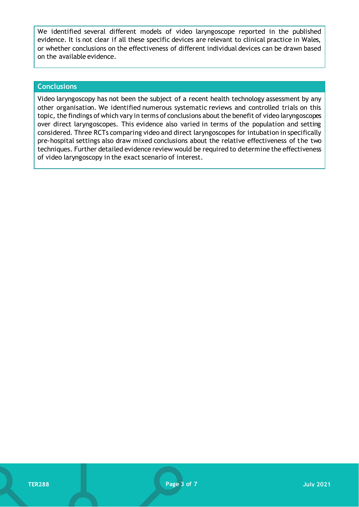We identified several different models of video laryngoscope reported in the published evidence. It is not clear if all these specific devices are relevant to clinical practice in Wales, or whether conclusions on the effectiveness of different individual devices can be drawn based on the available evidence.

#### **Conclusions**

Video laryngoscopy has not been the subject of a recent health technology assessment by any other organisation. We identified numerous systematic reviews and controlled trials on this topic, the findings of which vary in terms of conclusions about the benefit of video laryngoscopes over direct laryngoscopes. This evidence also varied in terms of the population and setting considered. Three RCTs comparing video and direct laryngoscopes for intubation in specifically pre-hospital settings also draw mixed conclusions about the relative effectiveness of the two techniques. Further detailed evidence review would be required to determine the effectiveness of video laryngoscopy in the exact scenario of interest.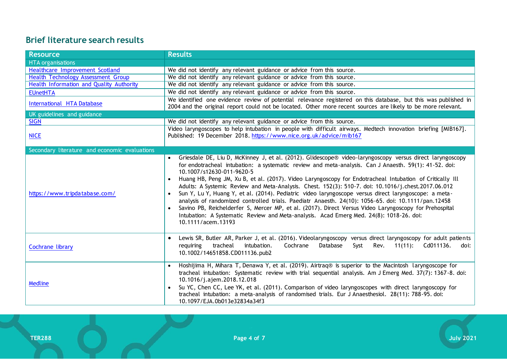# **Brief literature search results**

| <b>Resource</b>                               | <b>Results</b>                                                                                                                                                                                                                                                                                                                                                                                                                                                                                                                                                                                                                                                                                                                                                                                                                                                                                                                          |
|-----------------------------------------------|-----------------------------------------------------------------------------------------------------------------------------------------------------------------------------------------------------------------------------------------------------------------------------------------------------------------------------------------------------------------------------------------------------------------------------------------------------------------------------------------------------------------------------------------------------------------------------------------------------------------------------------------------------------------------------------------------------------------------------------------------------------------------------------------------------------------------------------------------------------------------------------------------------------------------------------------|
| <b>HTA</b> organisations                      |                                                                                                                                                                                                                                                                                                                                                                                                                                                                                                                                                                                                                                                                                                                                                                                                                                                                                                                                         |
| Healthcare Improvement Scotland               | We did not identify any relevant guidance or advice from this source.                                                                                                                                                                                                                                                                                                                                                                                                                                                                                                                                                                                                                                                                                                                                                                                                                                                                   |
| Health Technology Assessment Group            | We did not identify any relevant guidance or advice from this source.                                                                                                                                                                                                                                                                                                                                                                                                                                                                                                                                                                                                                                                                                                                                                                                                                                                                   |
| Health Information and Quality Authority      | We did not identify any relevant guidance or advice from this source.                                                                                                                                                                                                                                                                                                                                                                                                                                                                                                                                                                                                                                                                                                                                                                                                                                                                   |
| <b>EUnetHTA</b>                               | We did not identify any relevant guidance or advice from this source.                                                                                                                                                                                                                                                                                                                                                                                                                                                                                                                                                                                                                                                                                                                                                                                                                                                                   |
| International HTA Database                    | We identified one evidence review of potential relevance registered on this database, but this was published in<br>2004 and the original report could not be located. Other more recent sources are likely to be more relevant.                                                                                                                                                                                                                                                                                                                                                                                                                                                                                                                                                                                                                                                                                                         |
| UK guidelines and guidance                    |                                                                                                                                                                                                                                                                                                                                                                                                                                                                                                                                                                                                                                                                                                                                                                                                                                                                                                                                         |
| <b>SIGN</b>                                   | We did not identify any relevant guidance or advice from this source.                                                                                                                                                                                                                                                                                                                                                                                                                                                                                                                                                                                                                                                                                                                                                                                                                                                                   |
| <b>NICE</b>                                   | Video laryngoscopes to help intubation in people with difficult airways. Medtech innovation briefing [MIB167].<br>Published: 19 December 2018. https://www.nice.org.uk/advice/mib167                                                                                                                                                                                                                                                                                                                                                                                                                                                                                                                                                                                                                                                                                                                                                    |
| Secondary literature and economic evaluations |                                                                                                                                                                                                                                                                                                                                                                                                                                                                                                                                                                                                                                                                                                                                                                                                                                                                                                                                         |
| https://www.tripdatabase.com/                 | Griesdale DE, Liu D, McKinney J, et al. (2012). Glidescope® video-laryngoscopy versus direct laryngoscopy<br>for endotracheal intubation: a systematic review and meta-analysis. Can J Anaesth. 59(1): 41-52. doi:<br>10.1007/s12630-011-9620-5<br>Huang HB, Peng JM, Xu B, et al. (2017). Video Laryngoscopy for Endotracheal Intubation of Critically Ill<br>Adults: A Systemic Review and Meta-Analysis. Chest. 152(3): 510-7. doi: 10.1016/j.chest.2017.06.012<br>Sun Y, Lu Y, Huang Y, et al. (2014). Pediatric video laryngoscope versus direct laryngoscope: a meta-<br>$\bullet$<br>analysis of randomized controlled trials. Paediatr Anaesth. 24(10): 1056-65. doi: 10.1111/pan.12458<br>Savino PB, Reichelderfer S, Mercer MP, et al. (2017). Direct Versus Video Laryngoscopy for Prehospital<br>$\bullet$<br>Intubation: A Systematic Review and Meta-analysis. Acad Emerg Med. 24(8): 1018-26. doi:<br>10.1111/acem.13193 |
| Cochrane library                              | Lewis SR, Butler AR, Parker J, et al. (2016). Videolaryngoscopy versus direct laryngoscopy for adult patients<br>Database<br>tracheal<br>intubation.<br>Cochrane<br>Syst<br>Rev.<br>$11(11):$ Cd011136.<br>requiring<br>doi:<br>10.1002/14651858.CD011136.pub2                                                                                                                                                                                                                                                                                                                                                                                                                                                                                                                                                                                                                                                                          |
| <b>Medline</b>                                | Hoshijima H, Mihara T, Denawa Y, et al. (2019). Airtraq® is superior to the Macintosh laryngoscope for<br>tracheal intubation: Systematic review with trial sequential analysis. Am J Emerg Med. 37(7): 1367-8. doi:<br>10.1016/j.ajem.2018.12.018<br>Su YC, Chen CC, Lee YK, et al. (2011). Comparison of video laryngoscopes with direct laryngoscopy for<br>$\bullet$<br>tracheal intubation: a meta-analysis of randomised trials. Eur J Anaesthesiol. 28(11): 788-95. doi:<br>10.1097/EJA.0b013e32834a34f3                                                                                                                                                                                                                                                                                                                                                                                                                         |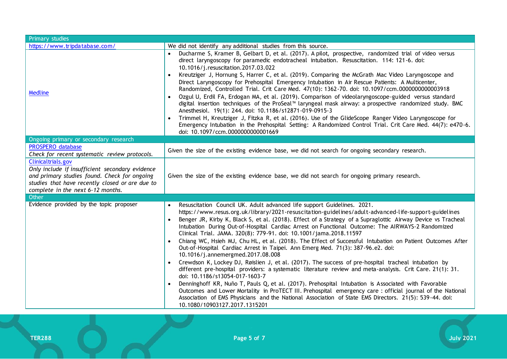| Primary studies                                                                                                                                                                                               |                                                                                                                                                                                                                                                                                                                                                                                                                                                                                                                                                                                                                                                                                                                                                                                                                                                                                                                                                                                                                                                                                                                                                                                                                                                                                                                                        |  |
|---------------------------------------------------------------------------------------------------------------------------------------------------------------------------------------------------------------|----------------------------------------------------------------------------------------------------------------------------------------------------------------------------------------------------------------------------------------------------------------------------------------------------------------------------------------------------------------------------------------------------------------------------------------------------------------------------------------------------------------------------------------------------------------------------------------------------------------------------------------------------------------------------------------------------------------------------------------------------------------------------------------------------------------------------------------------------------------------------------------------------------------------------------------------------------------------------------------------------------------------------------------------------------------------------------------------------------------------------------------------------------------------------------------------------------------------------------------------------------------------------------------------------------------------------------------|--|
| https://www.tripdatabase.com/                                                                                                                                                                                 | We did not identify any additional studies from this source.                                                                                                                                                                                                                                                                                                                                                                                                                                                                                                                                                                                                                                                                                                                                                                                                                                                                                                                                                                                                                                                                                                                                                                                                                                                                           |  |
| <b>Medline</b>                                                                                                                                                                                                | Ducharme S, Kramer B, Gelbart D, et al. (2017). A pilot, prospective, randomized trial of video versus<br>direct laryngoscopy for paramedic endotracheal intubation. Resuscitation. 114: 121-6. doi:<br>10.1016/j.resuscitation.2017.03.022<br>Kreutziger J, Hornung S, Harrer C, et al. (2019). Comparing the McGrath Mac Video Laryngoscope and<br>Direct Laryngoscopy for Prehospital Emergency Intubation in Air Rescue Patients: A Multicenter,<br>Randomized, Controlled Trial. Crit Care Med. 47(10): 1362-70. doi: 10.1097/ccm.0000000000003918<br>• Ozgul U, Erdil FA, Erdogan MA, et al. (2019). Comparison of videolaryngoscope-guided versus standard<br>digital insertion techniques of the ProSeal™ laryngeal mask airway: a prospective randomized study. BMC<br>Anesthesiol. 19(1): 244. doi: 10.1186/s12871-019-0915-3<br>Trimmel H, Kreutziger J, Fitzka R, et al. (2016). Use of the GlideScope Ranger Video Laryngoscope for<br>Emergency Intubation in the Prehospital Setting: A Randomized Control Trial. Crit Care Med. 44(7): e470-6.<br>doi: 10.1097/ccm.0000000000001669                                                                                                                                                                                                                                    |  |
| Ongoing primary or secondary research                                                                                                                                                                         |                                                                                                                                                                                                                                                                                                                                                                                                                                                                                                                                                                                                                                                                                                                                                                                                                                                                                                                                                                                                                                                                                                                                                                                                                                                                                                                                        |  |
| <b>PROSPERO database</b><br>Check for recent systematic review protocols.                                                                                                                                     | Given the size of the existing evidence base, we did not search for ongoing secondary research.                                                                                                                                                                                                                                                                                                                                                                                                                                                                                                                                                                                                                                                                                                                                                                                                                                                                                                                                                                                                                                                                                                                                                                                                                                        |  |
| Clinicaltrials.gov<br>Only include if insufficient secondary evidence<br>and primary studies found. Check for ongoing<br>studies that have recently closed or are due to<br>complete in the next 6-12 months. | Given the size of the existing evidence base, we did not search for ongoing primary research.                                                                                                                                                                                                                                                                                                                                                                                                                                                                                                                                                                                                                                                                                                                                                                                                                                                                                                                                                                                                                                                                                                                                                                                                                                          |  |
| Other                                                                                                                                                                                                         |                                                                                                                                                                                                                                                                                                                                                                                                                                                                                                                                                                                                                                                                                                                                                                                                                                                                                                                                                                                                                                                                                                                                                                                                                                                                                                                                        |  |
| Evidence provided by the topic proposer                                                                                                                                                                       | Resuscitation Council UK. Adult advanced life support Guidelines. 2021.<br>https://www.resus.org.uk/library/2021-resuscitation-guidelines/adult-advanced-life-support-guidelines<br>Benger JR, Kirby K, Black S, et al. (2018). Effect of a Strategy of a Supraglottic Airway Device vs Tracheal<br>Intubation During Out-of-Hospital Cardiac Arrest on Functional Outcome: The AIRWAYS-2 Randomized<br>Clinical Trial. JAMA. 320(8): 779-91. doi: 10.1001/jama.2018.11597<br>Chiang WC, Hsieh MJ, Chu HL, et al. (2018). The Effect of Successful Intubation on Patient Outcomes After<br>Out-of-Hospital Cardiac Arrest in Taipei. Ann Emerg Med. 71(3): 387-96.e2. doi:<br>10.1016/j.annemergmed.2017.08.008<br>Crewdson K, Lockey DJ, Røislien J, et al. (2017). The success of pre-hospital tracheal intubation by<br>different pre-hospital providers: a systematic literature review and meta-analysis. Crit Care. 21(1): 31.<br>doi: 10.1186/s13054-017-1603-7<br>Denninghoff KR, Nuño T, Pauls Q, et al. (2017). Prehospital Intubation is Associated with Favorable<br>Outcomes and Lower Mortality in ProTECT III. Prehospital emergency care : official journal of the National<br>Association of EMS Physicians and the National Association of State EMS Directors. 21(5): 539-44. doi:<br>10.1080/10903127.2017.1315201 |  |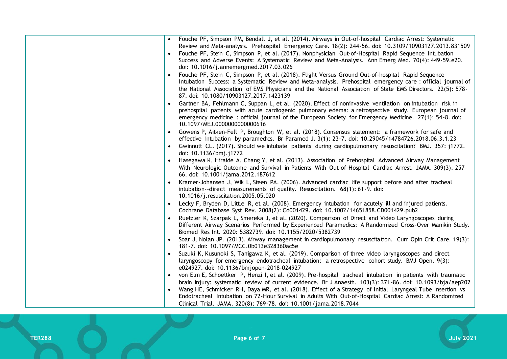| Fouche PF, Simpson PM, Bendall J, et al. (2014). Airways in Out-of-hospital Cardiac Arrest: Systematic<br>Review and Meta-analysis. Prehospital Emergency Care. 18(2): 244-56. doi: 10.3109/10903127.2013.831509<br>Fouche PF, Stein C, Simpson P, et al. (2017). Nonphysician Out-of-Hospital Rapid Sequence Intubation<br>Success and Adverse Events: A Systematic Review and Meta-Analysis. Ann Emerg Med. 70(4): 449-59.e20.<br>doi: 10.1016/j.annemergmed.2017.03.026<br>Fouche PF, Stein C, Simpson P, et al. (2018). Flight Versus Ground Out-of-hospital Rapid Sequence<br>Intubation Success: a Systematic Review and Meta-analysis. Prehospital emergency care : official journal of<br>the National Association of EMS Physicians and the National Association of State EMS Directors. 22(5): 578-<br>87. doi: 10.1080/10903127.2017.1423139<br>Gartner BA, Fehlmann C, Suppan L, et al. (2020). Effect of noninvasive ventilation on intubation risk in<br>prehospital patients with acute cardiogenic pulmonary edema: a retrospective study. European journal of<br>emergency medicine: official journal of the European Society for Emergency Medicine. 27(1): 54-8. doi:<br>10.1097/MEJ.0000000000000616<br>• Gowens P, Aitken-Fell P, Broughton W, et al. (2018). Consensus statement: a framework for safe and<br>effective intubation by paramedics. Br Paramed J. 3(1): 23-7. doi: 10.29045/14784726.2018.06.3.1.23<br>Gwinnutt CL. (2017). Should we intubate patients during cardiopulmonary resuscitation? BMJ. 357: j1772.<br>doi: 10.1136/bmj.j1772<br>Hasegawa K, Hiraide A, Chang Y, et al. (2013). Association of Prehospital Advanced Airway Management<br>With Neurologic Outcome and Survival in Patients With Out-of-Hospital Cardiac Arrest. JAMA. 309(3): 257-<br>66. doi: 10.1001/jama.2012.187612<br>Kramer-Johansen J, Wik L, Steen PA. (2006). Advanced cardiac life support before and after tracheal<br>intubation--direct measurements of quality. Resuscitation. 68(1): 61-9. doi:<br>10.1016/j.resuscitation.2005.05.020<br>Lecky F, Bryden D, Little R, et al. (2008). Emergency intubation for acutely ill and injured patients.<br>$\bullet$<br>Cochrane Database Syst Rev. 2008(2): Cd001429. doi: 10.1002/14651858.CD001429.pub2<br>Ruetzler K, Szarpak L, Smereka J, et al. (2020). Comparison of Direct and Video Laryngoscopes during<br>Different Airway Scenarios Performed by Experienced Paramedics: A Randomized Cross-Over Manikin Study.<br>Biomed Res Int. 2020: 5382739. doi: 10.1155/2020/5382739<br>Soar J, Nolan JP. (2013). Airway management in cardiopulmonary resuscitation. Curr Opin Crit Care. 19(3):<br>181-7. doi: 10.1097/MCC.0b013e328360ac5e<br>Suzuki K, Kusunoki S, Tanigawa K, et al. (2019). Comparison of three video laryngoscopes and direct<br>laryngoscopy for emergency endotracheal intubation: a retrospective cohort study. BMJ Open. 9(3):<br>e024927. doi: 10.1136/bmjopen-2018-024927<br>von Elm E, Schoettker P, Henzi I, et al. (2009). Pre-hospital tracheal intubation in patients with traumatic |                                                                                                            |
|--------------------------------------------------------------------------------------------------------------------------------------------------------------------------------------------------------------------------------------------------------------------------------------------------------------------------------------------------------------------------------------------------------------------------------------------------------------------------------------------------------------------------------------------------------------------------------------------------------------------------------------------------------------------------------------------------------------------------------------------------------------------------------------------------------------------------------------------------------------------------------------------------------------------------------------------------------------------------------------------------------------------------------------------------------------------------------------------------------------------------------------------------------------------------------------------------------------------------------------------------------------------------------------------------------------------------------------------------------------------------------------------------------------------------------------------------------------------------------------------------------------------------------------------------------------------------------------------------------------------------------------------------------------------------------------------------------------------------------------------------------------------------------------------------------------------------------------------------------------------------------------------------------------------------------------------------------------------------------------------------------------------------------------------------------------------------------------------------------------------------------------------------------------------------------------------------------------------------------------------------------------------------------------------------------------------------------------------------------------------------------------------------------------------------------------------------------------------------------------------------------------------------------------------------------------------------------------------------------------------------------------------------------------------------------------------------------------------------------------------------------------------------------------------------------------------------------------------------------------------------------------------------------------------------------------------------------------------------------------------------------------------------------------------------------------------------------------------------|------------------------------------------------------------------------------------------------------------|
|                                                                                                                                                                                                                                                                                                                                                                                                                                                                                                                                                                                                                                                                                                                                                                                                                                                                                                                                                                                                                                                                                                                                                                                                                                                                                                                                                                                                                                                                                                                                                                                                                                                                                                                                                                                                                                                                                                                                                                                                                                                                                                                                                                                                                                                                                                                                                                                                                                                                                                                                                                                                                                                                                                                                                                                                                                                                                                                                                                                                                                                                                                  |                                                                                                            |
|                                                                                                                                                                                                                                                                                                                                                                                                                                                                                                                                                                                                                                                                                                                                                                                                                                                                                                                                                                                                                                                                                                                                                                                                                                                                                                                                                                                                                                                                                                                                                                                                                                                                                                                                                                                                                                                                                                                                                                                                                                                                                                                                                                                                                                                                                                                                                                                                                                                                                                                                                                                                                                                                                                                                                                                                                                                                                                                                                                                                                                                                                                  |                                                                                                            |
|                                                                                                                                                                                                                                                                                                                                                                                                                                                                                                                                                                                                                                                                                                                                                                                                                                                                                                                                                                                                                                                                                                                                                                                                                                                                                                                                                                                                                                                                                                                                                                                                                                                                                                                                                                                                                                                                                                                                                                                                                                                                                                                                                                                                                                                                                                                                                                                                                                                                                                                                                                                                                                                                                                                                                                                                                                                                                                                                                                                                                                                                                                  |                                                                                                            |
|                                                                                                                                                                                                                                                                                                                                                                                                                                                                                                                                                                                                                                                                                                                                                                                                                                                                                                                                                                                                                                                                                                                                                                                                                                                                                                                                                                                                                                                                                                                                                                                                                                                                                                                                                                                                                                                                                                                                                                                                                                                                                                                                                                                                                                                                                                                                                                                                                                                                                                                                                                                                                                                                                                                                                                                                                                                                                                                                                                                                                                                                                                  |                                                                                                            |
|                                                                                                                                                                                                                                                                                                                                                                                                                                                                                                                                                                                                                                                                                                                                                                                                                                                                                                                                                                                                                                                                                                                                                                                                                                                                                                                                                                                                                                                                                                                                                                                                                                                                                                                                                                                                                                                                                                                                                                                                                                                                                                                                                                                                                                                                                                                                                                                                                                                                                                                                                                                                                                                                                                                                                                                                                                                                                                                                                                                                                                                                                                  |                                                                                                            |
|                                                                                                                                                                                                                                                                                                                                                                                                                                                                                                                                                                                                                                                                                                                                                                                                                                                                                                                                                                                                                                                                                                                                                                                                                                                                                                                                                                                                                                                                                                                                                                                                                                                                                                                                                                                                                                                                                                                                                                                                                                                                                                                                                                                                                                                                                                                                                                                                                                                                                                                                                                                                                                                                                                                                                                                                                                                                                                                                                                                                                                                                                                  |                                                                                                            |
|                                                                                                                                                                                                                                                                                                                                                                                                                                                                                                                                                                                                                                                                                                                                                                                                                                                                                                                                                                                                                                                                                                                                                                                                                                                                                                                                                                                                                                                                                                                                                                                                                                                                                                                                                                                                                                                                                                                                                                                                                                                                                                                                                                                                                                                                                                                                                                                                                                                                                                                                                                                                                                                                                                                                                                                                                                                                                                                                                                                                                                                                                                  |                                                                                                            |
|                                                                                                                                                                                                                                                                                                                                                                                                                                                                                                                                                                                                                                                                                                                                                                                                                                                                                                                                                                                                                                                                                                                                                                                                                                                                                                                                                                                                                                                                                                                                                                                                                                                                                                                                                                                                                                                                                                                                                                                                                                                                                                                                                                                                                                                                                                                                                                                                                                                                                                                                                                                                                                                                                                                                                                                                                                                                                                                                                                                                                                                                                                  |                                                                                                            |
|                                                                                                                                                                                                                                                                                                                                                                                                                                                                                                                                                                                                                                                                                                                                                                                                                                                                                                                                                                                                                                                                                                                                                                                                                                                                                                                                                                                                                                                                                                                                                                                                                                                                                                                                                                                                                                                                                                                                                                                                                                                                                                                                                                                                                                                                                                                                                                                                                                                                                                                                                                                                                                                                                                                                                                                                                                                                                                                                                                                                                                                                                                  |                                                                                                            |
|                                                                                                                                                                                                                                                                                                                                                                                                                                                                                                                                                                                                                                                                                                                                                                                                                                                                                                                                                                                                                                                                                                                                                                                                                                                                                                                                                                                                                                                                                                                                                                                                                                                                                                                                                                                                                                                                                                                                                                                                                                                                                                                                                                                                                                                                                                                                                                                                                                                                                                                                                                                                                                                                                                                                                                                                                                                                                                                                                                                                                                                                                                  |                                                                                                            |
|                                                                                                                                                                                                                                                                                                                                                                                                                                                                                                                                                                                                                                                                                                                                                                                                                                                                                                                                                                                                                                                                                                                                                                                                                                                                                                                                                                                                                                                                                                                                                                                                                                                                                                                                                                                                                                                                                                                                                                                                                                                                                                                                                                                                                                                                                                                                                                                                                                                                                                                                                                                                                                                                                                                                                                                                                                                                                                                                                                                                                                                                                                  |                                                                                                            |
|                                                                                                                                                                                                                                                                                                                                                                                                                                                                                                                                                                                                                                                                                                                                                                                                                                                                                                                                                                                                                                                                                                                                                                                                                                                                                                                                                                                                                                                                                                                                                                                                                                                                                                                                                                                                                                                                                                                                                                                                                                                                                                                                                                                                                                                                                                                                                                                                                                                                                                                                                                                                                                                                                                                                                                                                                                                                                                                                                                                                                                                                                                  |                                                                                                            |
|                                                                                                                                                                                                                                                                                                                                                                                                                                                                                                                                                                                                                                                                                                                                                                                                                                                                                                                                                                                                                                                                                                                                                                                                                                                                                                                                                                                                                                                                                                                                                                                                                                                                                                                                                                                                                                                                                                                                                                                                                                                                                                                                                                                                                                                                                                                                                                                                                                                                                                                                                                                                                                                                                                                                                                                                                                                                                                                                                                                                                                                                                                  |                                                                                                            |
|                                                                                                                                                                                                                                                                                                                                                                                                                                                                                                                                                                                                                                                                                                                                                                                                                                                                                                                                                                                                                                                                                                                                                                                                                                                                                                                                                                                                                                                                                                                                                                                                                                                                                                                                                                                                                                                                                                                                                                                                                                                                                                                                                                                                                                                                                                                                                                                                                                                                                                                                                                                                                                                                                                                                                                                                                                                                                                                                                                                                                                                                                                  |                                                                                                            |
|                                                                                                                                                                                                                                                                                                                                                                                                                                                                                                                                                                                                                                                                                                                                                                                                                                                                                                                                                                                                                                                                                                                                                                                                                                                                                                                                                                                                                                                                                                                                                                                                                                                                                                                                                                                                                                                                                                                                                                                                                                                                                                                                                                                                                                                                                                                                                                                                                                                                                                                                                                                                                                                                                                                                                                                                                                                                                                                                                                                                                                                                                                  |                                                                                                            |
|                                                                                                                                                                                                                                                                                                                                                                                                                                                                                                                                                                                                                                                                                                                                                                                                                                                                                                                                                                                                                                                                                                                                                                                                                                                                                                                                                                                                                                                                                                                                                                                                                                                                                                                                                                                                                                                                                                                                                                                                                                                                                                                                                                                                                                                                                                                                                                                                                                                                                                                                                                                                                                                                                                                                                                                                                                                                                                                                                                                                                                                                                                  |                                                                                                            |
|                                                                                                                                                                                                                                                                                                                                                                                                                                                                                                                                                                                                                                                                                                                                                                                                                                                                                                                                                                                                                                                                                                                                                                                                                                                                                                                                                                                                                                                                                                                                                                                                                                                                                                                                                                                                                                                                                                                                                                                                                                                                                                                                                                                                                                                                                                                                                                                                                                                                                                                                                                                                                                                                                                                                                                                                                                                                                                                                                                                                                                                                                                  |                                                                                                            |
|                                                                                                                                                                                                                                                                                                                                                                                                                                                                                                                                                                                                                                                                                                                                                                                                                                                                                                                                                                                                                                                                                                                                                                                                                                                                                                                                                                                                                                                                                                                                                                                                                                                                                                                                                                                                                                                                                                                                                                                                                                                                                                                                                                                                                                                                                                                                                                                                                                                                                                                                                                                                                                                                                                                                                                                                                                                                                                                                                                                                                                                                                                  |                                                                                                            |
|                                                                                                                                                                                                                                                                                                                                                                                                                                                                                                                                                                                                                                                                                                                                                                                                                                                                                                                                                                                                                                                                                                                                                                                                                                                                                                                                                                                                                                                                                                                                                                                                                                                                                                                                                                                                                                                                                                                                                                                                                                                                                                                                                                                                                                                                                                                                                                                                                                                                                                                                                                                                                                                                                                                                                                                                                                                                                                                                                                                                                                                                                                  |                                                                                                            |
|                                                                                                                                                                                                                                                                                                                                                                                                                                                                                                                                                                                                                                                                                                                                                                                                                                                                                                                                                                                                                                                                                                                                                                                                                                                                                                                                                                                                                                                                                                                                                                                                                                                                                                                                                                                                                                                                                                                                                                                                                                                                                                                                                                                                                                                                                                                                                                                                                                                                                                                                                                                                                                                                                                                                                                                                                                                                                                                                                                                                                                                                                                  |                                                                                                            |
|                                                                                                                                                                                                                                                                                                                                                                                                                                                                                                                                                                                                                                                                                                                                                                                                                                                                                                                                                                                                                                                                                                                                                                                                                                                                                                                                                                                                                                                                                                                                                                                                                                                                                                                                                                                                                                                                                                                                                                                                                                                                                                                                                                                                                                                                                                                                                                                                                                                                                                                                                                                                                                                                                                                                                                                                                                                                                                                                                                                                                                                                                                  |                                                                                                            |
|                                                                                                                                                                                                                                                                                                                                                                                                                                                                                                                                                                                                                                                                                                                                                                                                                                                                                                                                                                                                                                                                                                                                                                                                                                                                                                                                                                                                                                                                                                                                                                                                                                                                                                                                                                                                                                                                                                                                                                                                                                                                                                                                                                                                                                                                                                                                                                                                                                                                                                                                                                                                                                                                                                                                                                                                                                                                                                                                                                                                                                                                                                  |                                                                                                            |
|                                                                                                                                                                                                                                                                                                                                                                                                                                                                                                                                                                                                                                                                                                                                                                                                                                                                                                                                                                                                                                                                                                                                                                                                                                                                                                                                                                                                                                                                                                                                                                                                                                                                                                                                                                                                                                                                                                                                                                                                                                                                                                                                                                                                                                                                                                                                                                                                                                                                                                                                                                                                                                                                                                                                                                                                                                                                                                                                                                                                                                                                                                  |                                                                                                            |
|                                                                                                                                                                                                                                                                                                                                                                                                                                                                                                                                                                                                                                                                                                                                                                                                                                                                                                                                                                                                                                                                                                                                                                                                                                                                                                                                                                                                                                                                                                                                                                                                                                                                                                                                                                                                                                                                                                                                                                                                                                                                                                                                                                                                                                                                                                                                                                                                                                                                                                                                                                                                                                                                                                                                                                                                                                                                                                                                                                                                                                                                                                  |                                                                                                            |
|                                                                                                                                                                                                                                                                                                                                                                                                                                                                                                                                                                                                                                                                                                                                                                                                                                                                                                                                                                                                                                                                                                                                                                                                                                                                                                                                                                                                                                                                                                                                                                                                                                                                                                                                                                                                                                                                                                                                                                                                                                                                                                                                                                                                                                                                                                                                                                                                                                                                                                                                                                                                                                                                                                                                                                                                                                                                                                                                                                                                                                                                                                  |                                                                                                            |
|                                                                                                                                                                                                                                                                                                                                                                                                                                                                                                                                                                                                                                                                                                                                                                                                                                                                                                                                                                                                                                                                                                                                                                                                                                                                                                                                                                                                                                                                                                                                                                                                                                                                                                                                                                                                                                                                                                                                                                                                                                                                                                                                                                                                                                                                                                                                                                                                                                                                                                                                                                                                                                                                                                                                                                                                                                                                                                                                                                                                                                                                                                  |                                                                                                            |
|                                                                                                                                                                                                                                                                                                                                                                                                                                                                                                                                                                                                                                                                                                                                                                                                                                                                                                                                                                                                                                                                                                                                                                                                                                                                                                                                                                                                                                                                                                                                                                                                                                                                                                                                                                                                                                                                                                                                                                                                                                                                                                                                                                                                                                                                                                                                                                                                                                                                                                                                                                                                                                                                                                                                                                                                                                                                                                                                                                                                                                                                                                  |                                                                                                            |
|                                                                                                                                                                                                                                                                                                                                                                                                                                                                                                                                                                                                                                                                                                                                                                                                                                                                                                                                                                                                                                                                                                                                                                                                                                                                                                                                                                                                                                                                                                                                                                                                                                                                                                                                                                                                                                                                                                                                                                                                                                                                                                                                                                                                                                                                                                                                                                                                                                                                                                                                                                                                                                                                                                                                                                                                                                                                                                                                                                                                                                                                                                  |                                                                                                            |
|                                                                                                                                                                                                                                                                                                                                                                                                                                                                                                                                                                                                                                                                                                                                                                                                                                                                                                                                                                                                                                                                                                                                                                                                                                                                                                                                                                                                                                                                                                                                                                                                                                                                                                                                                                                                                                                                                                                                                                                                                                                                                                                                                                                                                                                                                                                                                                                                                                                                                                                                                                                                                                                                                                                                                                                                                                                                                                                                                                                                                                                                                                  |                                                                                                            |
|                                                                                                                                                                                                                                                                                                                                                                                                                                                                                                                                                                                                                                                                                                                                                                                                                                                                                                                                                                                                                                                                                                                                                                                                                                                                                                                                                                                                                                                                                                                                                                                                                                                                                                                                                                                                                                                                                                                                                                                                                                                                                                                                                                                                                                                                                                                                                                                                                                                                                                                                                                                                                                                                                                                                                                                                                                                                                                                                                                                                                                                                                                  |                                                                                                            |
|                                                                                                                                                                                                                                                                                                                                                                                                                                                                                                                                                                                                                                                                                                                                                                                                                                                                                                                                                                                                                                                                                                                                                                                                                                                                                                                                                                                                                                                                                                                                                                                                                                                                                                                                                                                                                                                                                                                                                                                                                                                                                                                                                                                                                                                                                                                                                                                                                                                                                                                                                                                                                                                                                                                                                                                                                                                                                                                                                                                                                                                                                                  | brain injury: systematic review of current evidence. Br J Anaesth. 103(3): 371-86. doi: 10.1093/bja/aep202 |
| Wang HE, Schmicker RH, Daya MR, et al. (2018). Effect of a Strategy of Initial Laryngeal Tube Insertion vs                                                                                                                                                                                                                                                                                                                                                                                                                                                                                                                                                                                                                                                                                                                                                                                                                                                                                                                                                                                                                                                                                                                                                                                                                                                                                                                                                                                                                                                                                                                                                                                                                                                                                                                                                                                                                                                                                                                                                                                                                                                                                                                                                                                                                                                                                                                                                                                                                                                                                                                                                                                                                                                                                                                                                                                                                                                                                                                                                                                       |                                                                                                            |
| Endotracheal Intubation on 72-Hour Survival in Adults With Out-of-Hospital Cardiac Arrest: A Randomized                                                                                                                                                                                                                                                                                                                                                                                                                                                                                                                                                                                                                                                                                                                                                                                                                                                                                                                                                                                                                                                                                                                                                                                                                                                                                                                                                                                                                                                                                                                                                                                                                                                                                                                                                                                                                                                                                                                                                                                                                                                                                                                                                                                                                                                                                                                                                                                                                                                                                                                                                                                                                                                                                                                                                                                                                                                                                                                                                                                          |                                                                                                            |
| Clinical Trial. JAMA. 320(8): 769-78. doi: 10.1001/jama.2018.7044                                                                                                                                                                                                                                                                                                                                                                                                                                                                                                                                                                                                                                                                                                                                                                                                                                                                                                                                                                                                                                                                                                                                                                                                                                                                                                                                                                                                                                                                                                                                                                                                                                                                                                                                                                                                                                                                                                                                                                                                                                                                                                                                                                                                                                                                                                                                                                                                                                                                                                                                                                                                                                                                                                                                                                                                                                                                                                                                                                                                                                |                                                                                                            |